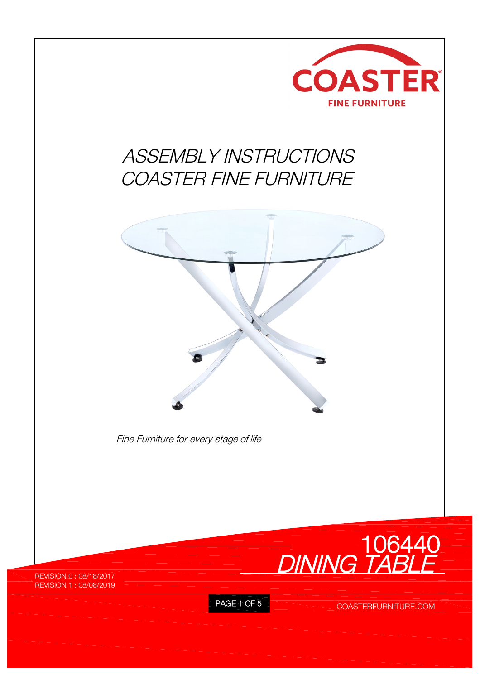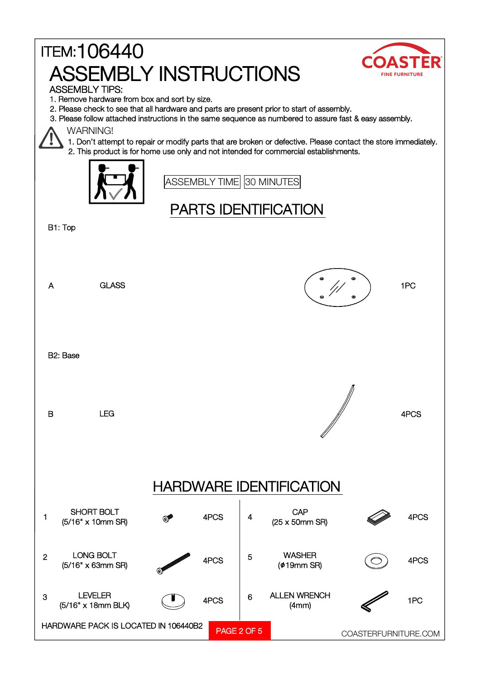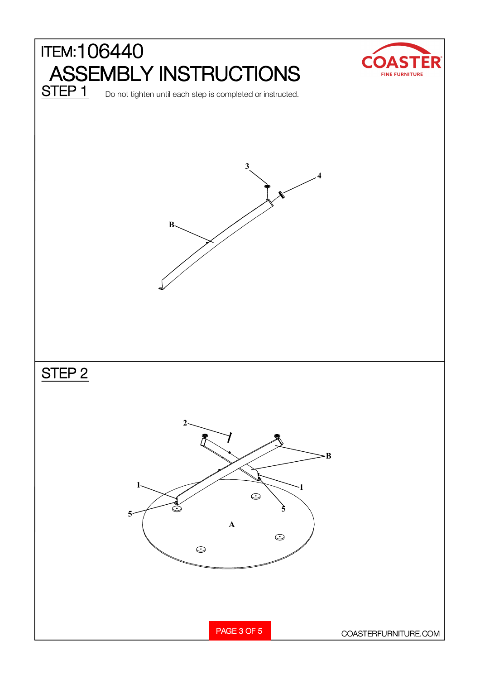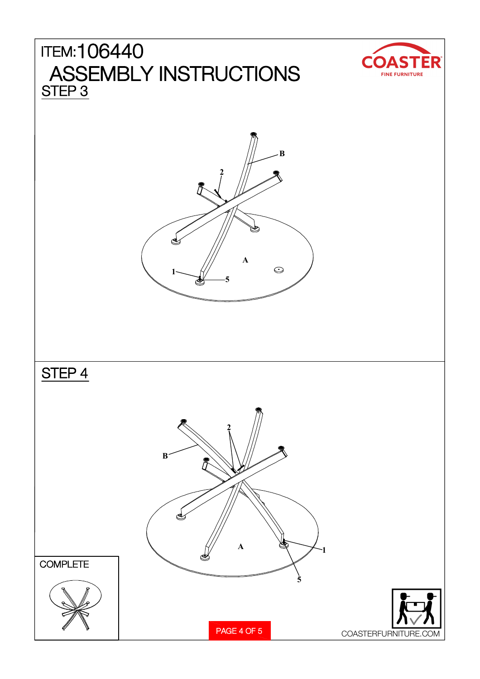